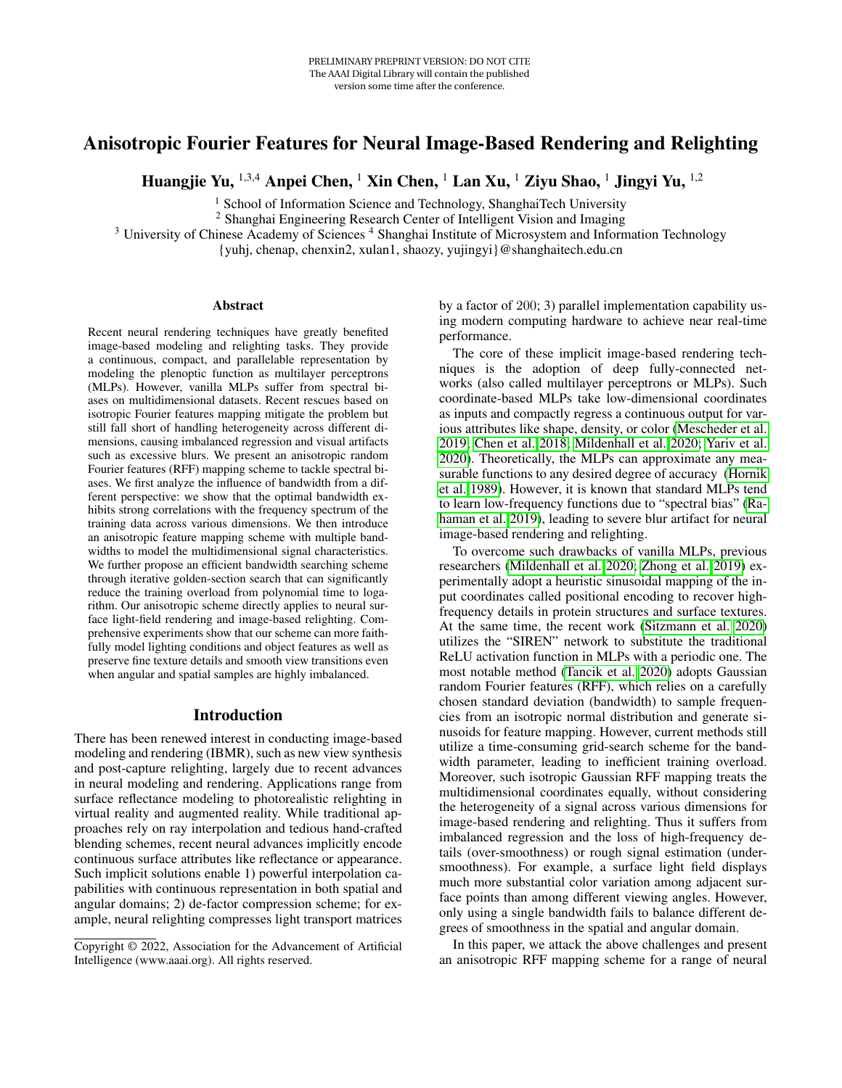# Anisotropic Fourier Features for Neural Image-Based Rendering and Relighting

Huangjie Yu,  $^{1,3,4}$  Anpei Chen,  $^1$  Xin Chen,  $^1$  Lan Xu,  $^1$  Ziyu Shao,  $^1$  Jingyi Yu,  $^{1,2}$ 

<sup>1</sup> School of Information Science and Technology, ShanghaiTech University

<sup>2</sup> Shanghai Engineering Research Center of Intelligent Vision and Imaging

<sup>3</sup> University of Chinese Academy of Sciences<sup>4</sup> Shanghai Institute of Microsystem and Information Technology

{yuhj, chenap, chenxin2, xulan1, shaozy, yujingyi}@shanghaitech.edu.cn

#### Abstract

Recent neural rendering techniques have greatly benefited image-based modeling and relighting tasks. They provide a continuous, compact, and parallelable representation by modeling the plenoptic function as multilayer perceptrons (MLPs). However, vanilla MLPs suffer from spectral biases on multidimensional datasets. Recent rescues based on isotropic Fourier features mapping mitigate the problem but still fall short of handling heterogeneity across different dimensions, causing imbalanced regression and visual artifacts such as excessive blurs. We present an anisotropic random Fourier features (RFF) mapping scheme to tackle spectral biases. We first analyze the influence of bandwidth from a different perspective: we show that the optimal bandwidth exhibits strong correlations with the frequency spectrum of the training data across various dimensions. We then introduce an anisotropic feature mapping scheme with multiple bandwidths to model the multidimensional signal characteristics. We further propose an efficient bandwidth searching scheme through iterative golden-section search that can significantly reduce the training overload from polynomial time to logarithm. Our anisotropic scheme directly applies to neural surface light-field rendering and image-based relighting. Comprehensive experiments show that our scheme can more faithfully model lighting conditions and object features as well as preserve fine texture details and smooth view transitions even when angular and spatial samples are highly imbalanced.

#### Introduction

There has been renewed interest in conducting image-based modeling and rendering (IBMR), such as new view synthesis and post-capture relighting, largely due to recent advances in neural modeling and rendering. Applications range from surface reflectance modeling to photorealistic relighting in virtual reality and augmented reality. While traditional approaches rely on ray interpolation and tedious hand-crafted blending schemes, recent neural advances implicitly encode continuous surface attributes like reflectance or appearance. Such implicit solutions enable 1) powerful interpolation capabilities with continuous representation in both spatial and angular domains; 2) de-factor compression scheme; for example, neural relighting compresses light transport matrices

by a factor of 200; 3) parallel implementation capability using modern computing hardware to achieve near real-time performance.

The core of these implicit image-based rendering techniques is the adoption of deep fully-connected networks (also called multilayer perceptrons or MLPs). Such coordinate-based MLPs take low-dimensional coordinates as inputs and compactly regress a continuous output for various attributes like shape, density, or color [\(Mescheder et al.](#page-7-0) [2019;](#page-7-0) [Chen et al. 2018;](#page-7-1) [Mildenhall et al. 2020;](#page-7-2) [Yariv et al.](#page-8-0) [2020\)](#page-8-0). Theoretically, the MLPs can approximate any measurable functions to any desired degree of accuracy [\(Hornik](#page-7-3) [et al. 1989\)](#page-7-3). However, it is known that standard MLPs tend to learn low-frequency functions due to "spectral bias" [\(Ra](#page-7-4)[haman et al. 2019\)](#page-7-4), leading to severe blur artifact for neural image-based rendering and relighting.

To overcome such drawbacks of vanilla MLPs, previous researchers [\(Mildenhall et al. 2020;](#page-7-2) [Zhong et al. 2019\)](#page-8-1) experimentally adopt a heuristic sinusoidal mapping of the input coordinates called positional encoding to recover highfrequency details in protein structures and surface textures. At the same time, the recent work [\(Sitzmann et al. 2020\)](#page-7-5) utilizes the "SIREN" network to substitute the traditional ReLU activation function in MLPs with a periodic one. The most notable method [\(Tancik et al. 2020\)](#page-8-2) adopts Gaussian random Fourier features (RFF), which relies on a carefully chosen standard deviation (bandwidth) to sample frequencies from an isotropic normal distribution and generate sinusoids for feature mapping. However, current methods still utilize a time-consuming grid-search scheme for the bandwidth parameter, leading to inefficient training overload. Moreover, such isotropic Gaussian RFF mapping treats the multidimensional coordinates equally, without considering the heterogeneity of a signal across various dimensions for image-based rendering and relighting. Thus it suffers from imbalanced regression and the loss of high-frequency details (over-smoothness) or rough signal estimation (undersmoothness). For example, a surface light field displays much more substantial color variation among adjacent surface points than among different viewing angles. However, only using a single bandwidth fails to balance different degrees of smoothness in the spatial and angular domain.

In this paper, we attack the above challenges and present an anisotropic RFF mapping scheme for a range of neural

Copyright © 2022, Association for the Advancement of Artificial Intelligence (www.aaai.org). All rights reserved.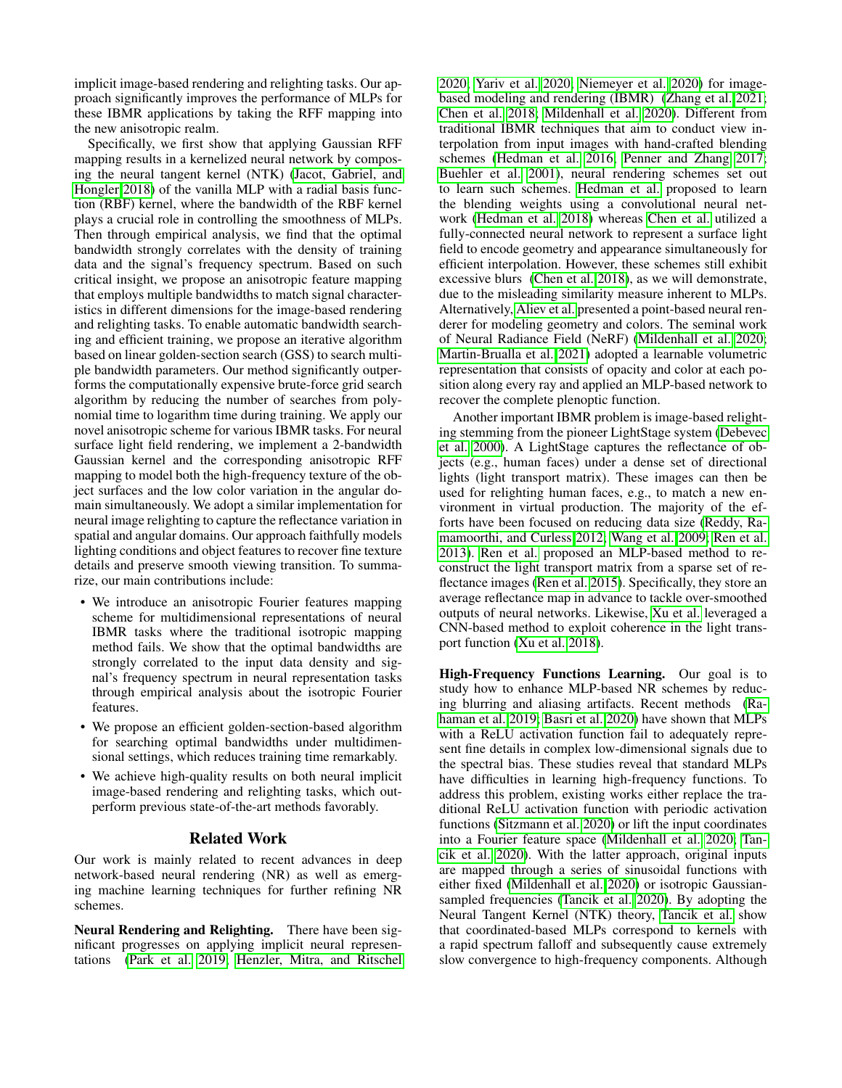implicit image-based rendering and relighting tasks. Our approach significantly improves the performance of MLPs for these IBMR applications by taking the RFF mapping into the new anisotropic realm.

Specifically, we first show that applying Gaussian RFF mapping results in a kernelized neural network by composing the neural tangent kernel (NTK) [\(Jacot, Gabriel, and](#page-7-6) [Hongler 2018\)](#page-7-6) of the vanilla MLP with a radial basis function (RBF) kernel, where the bandwidth of the RBF kernel plays a crucial role in controlling the smoothness of MLPs. Then through empirical analysis, we find that the optimal bandwidth strongly correlates with the density of training data and the signal's frequency spectrum. Based on such critical insight, we propose an anisotropic feature mapping that employs multiple bandwidths to match signal characteristics in different dimensions for the image-based rendering and relighting tasks. To enable automatic bandwidth searching and efficient training, we propose an iterative algorithm based on linear golden-section search (GSS) to search multiple bandwidth parameters. Our method significantly outperforms the computationally expensive brute-force grid search algorithm by reducing the number of searches from polynomial time to logarithm time during training. We apply our novel anisotropic scheme for various IBMR tasks. For neural surface light field rendering, we implement a 2-bandwidth Gaussian kernel and the corresponding anisotropic RFF mapping to model both the high-frequency texture of the object surfaces and the low color variation in the angular domain simultaneously. We adopt a similar implementation for neural image relighting to capture the reflectance variation in spatial and angular domains. Our approach faithfully models lighting conditions and object features to recover fine texture details and preserve smooth viewing transition. To summarize, our main contributions include:

- We introduce an anisotropic Fourier features mapping scheme for multidimensional representations of neural IBMR tasks where the traditional isotropic mapping method fails. We show that the optimal bandwidths are strongly correlated to the input data density and signal's frequency spectrum in neural representation tasks through empirical analysis about the isotropic Fourier features.
- We propose an efficient golden-section-based algorithm for searching optimal bandwidths under multidimensional settings, which reduces training time remarkably.
- We achieve high-quality results on both neural implicit image-based rendering and relighting tasks, which outperform previous state-of-the-art methods favorably.

## Related Work

Our work is mainly related to recent advances in deep network-based neural rendering (NR) as well as emerging machine learning techniques for further refining NR schemes.

Neural Rendering and Relighting. There have been significant progresses on applying implicit neural representations [\(Park et al. 2019;](#page-7-7) [Henzler, Mitra, and Ritschel](#page-7-8) [2020;](#page-7-8) [Yariv et al. 2020;](#page-8-0) [Niemeyer et al. 2020\)](#page-7-9) for imagebased modeling and rendering (IBMR) [\(Zhang et al. 2021;](#page-8-3) [Chen et al. 2018;](#page-7-1) [Mildenhall et al. 2020\)](#page-7-2). Different from traditional IBMR techniques that aim to conduct view interpolation from input images with hand-crafted blending schemes [\(Hedman et al. 2016;](#page-7-10) [Penner and Zhang 2017;](#page-7-11) [Buehler et al. 2001\)](#page-7-12), neural rendering schemes set out to learn such schemes. [Hedman et al.](#page-7-13) proposed to learn the blending weights using a convolutional neural network [\(Hedman et al. 2018\)](#page-7-13) whereas [Chen et al.](#page-7-1) utilized a fully-connected neural network to represent a surface light field to encode geometry and appearance simultaneously for efficient interpolation. However, these schemes still exhibit excessive blurs [\(Chen et al. 2018\)](#page-7-1), as we will demonstrate, due to the misleading similarity measure inherent to MLPs. Alternatively, [Aliev et al.](#page-7-14) presented a point-based neural renderer for modeling geometry and colors. The seminal work of Neural Radiance Field (NeRF) [\(Mildenhall et al. 2020;](#page-7-2) [Martin-Brualla et al. 2021\)](#page-7-15) adopted a learnable volumetric representation that consists of opacity and color at each position along every ray and applied an MLP-based network to recover the complete plenoptic function.

Another important IBMR problem is image-based relighting stemming from the pioneer LightStage system [\(Debevec](#page-7-16) [et al. 2000\)](#page-7-16). A LightStage captures the reflectance of objects (e.g., human faces) under a dense set of directional lights (light transport matrix). These images can then be used for relighting human faces, e.g., to match a new environment in virtual production. The majority of the efforts have been focused on reducing data size [\(Reddy, Ra](#page-7-17)[mamoorthi, and Curless 2012;](#page-7-17) [Wang et al. 2009;](#page-8-4) [Ren et al.](#page-7-18) [2013\)](#page-7-18). [Ren et al.](#page-7-19) proposed an MLP-based method to reconstruct the light transport matrix from a sparse set of reflectance images [\(Ren et al. 2015\)](#page-7-19). Specifically, they store an average reflectance map in advance to tackle over-smoothed outputs of neural networks. Likewise, [Xu et al.](#page-8-5) leveraged a CNN-based method to exploit coherence in the light transport function [\(Xu et al. 2018\)](#page-8-5).

High-Frequency Functions Learning. Our goal is to study how to enhance MLP-based NR schemes by reducing blurring and aliasing artifacts. Recent methods [\(Ra](#page-7-4)[haman et al. 2019;](#page-7-4) [Basri et al. 2020\)](#page-7-20) have shown that MLPs with a ReLU activation function fail to adequately represent fine details in complex low-dimensional signals due to the spectral bias. These studies reveal that standard MLPs have difficulties in learning high-frequency functions. To address this problem, existing works either replace the traditional ReLU activation function with periodic activation functions [\(Sitzmann et al. 2020\)](#page-7-5) or lift the input coordinates into a Fourier feature space [\(Mildenhall et al. 2020;](#page-7-2) [Tan](#page-8-2)[cik et al. 2020\)](#page-8-2). With the latter approach, original inputs are mapped through a series of sinusoidal functions with either fixed [\(Mildenhall et al. 2020\)](#page-7-2) or isotropic Gaussiansampled frequencies [\(Tancik et al. 2020\)](#page-8-2). By adopting the Neural Tangent Kernel (NTK) theory, [Tancik et al.](#page-8-2) show that coordinated-based MLPs correspond to kernels with a rapid spectrum falloff and subsequently cause extremely slow convergence to high-frequency components. Although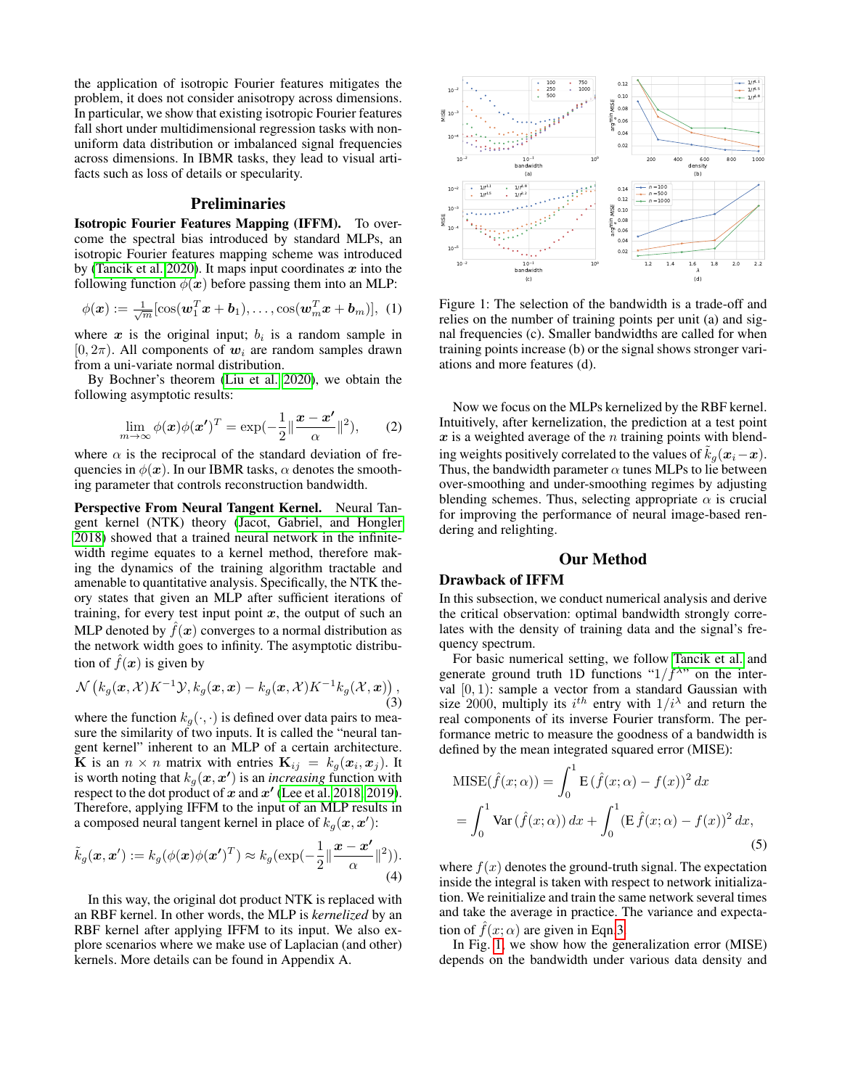the application of isotropic Fourier features mitigates the problem, it does not consider anisotropy across dimensions. In particular, we show that existing isotropic Fourier features fall short under multidimensional regression tasks with nonuniform data distribution or imbalanced signal frequencies across dimensions. In IBMR tasks, they lead to visual artifacts such as loss of details or specularity.

## Preliminaries

Isotropic Fourier Features Mapping (IFFM). To overcome the spectral bias introduced by standard MLPs, an isotropic Fourier features mapping scheme was introduced by [\(Tancik et al. 2020\)](#page-8-2). It maps input coordinates  $x$  into the following function  $\phi(x)$  before passing them into an MLP:

$$
\phi(\boldsymbol{x}) := \frac{1}{\sqrt{m}} [\cos(\boldsymbol{w}_1^T \boldsymbol{x} + \boldsymbol{b}_1), \dots, \cos(\boldsymbol{w}_m^T \boldsymbol{x} + \boldsymbol{b}_m)], \ (1)
$$

where  $x$  is the original input;  $b_i$  is a random sample in  $[0, 2\pi)$ . All components of  $w_i$  are random samples drawn from a uni-variate normal distribution.

By Bochner's theorem [\(Liu et al. 2020\)](#page-7-21), we obtain the following asymptotic results:

$$
\lim_{m \to \infty} \phi(\boldsymbol{x}) \phi(\boldsymbol{x'})^T = \exp(-\frac{1}{2} \|\frac{\boldsymbol{x} - \boldsymbol{x'}}{\alpha}\|^2), \qquad (2)
$$

where  $\alpha$  is the reciprocal of the standard deviation of frequencies in  $\phi(x)$ . In our IBMR tasks,  $\alpha$  denotes the smoothing parameter that controls reconstruction bandwidth.

Perspective From Neural Tangent Kernel. Neural Tangent kernel (NTK) theory [\(Jacot, Gabriel, and Hongler](#page-7-6) [2018\)](#page-7-6) showed that a trained neural network in the infinitewidth regime equates to a kernel method, therefore making the dynamics of the training algorithm tractable and amenable to quantitative analysis. Specifically, the NTK theory states that given an MLP after sufficient iterations of training, for every test input point  $x$ , the output of such an MLP denoted by  $\hat{f}(x)$  converges to a normal distribution as the network width goes to infinity. The asymptotic distribution of  $f(x)$  is given by

<span id="page-2-0"></span>
$$
\mathcal{N}\left(k_g(\boldsymbol{x},\mathcal{X})K^{-1}\mathcal{Y},k_g(\boldsymbol{x},\boldsymbol{x})-k_g(\boldsymbol{x},\mathcal{X})K^{-1}k_g(\mathcal{X},\boldsymbol{x})\right),\tag{3}
$$

where the function  $k_g(\cdot, \cdot)$  is defined over data pairs to measure the similarity of two inputs. It is called the "neural tangent kernel" inherent to an MLP of a certain architecture. **K** is an  $n \times n$  matrix with entries  $\mathbf{K}_{ij} = k_g(\mathbf{x}_i, \mathbf{x}_j)$ . It is worth noting that  $k_g(\boldsymbol{x},\boldsymbol{x'})$  is an *increasing* function with respect to the dot product of  $x$  and  $x'$  [\(Lee et al. 2018,](#page-7-22) [2019\)](#page-7-23). Therefore, applying IFFM to the input of an MLP results in a composed neural tangent kernel in place of  $k_g(\mathbf{x}, \mathbf{x}')$ :

$$
\tilde{k}_g(\boldsymbol{x}, \boldsymbol{x}') := k_g(\phi(\boldsymbol{x})\phi(\boldsymbol{x}')^T) \approx k_g(\exp(-\frac{1}{2}||\frac{\boldsymbol{x} - \boldsymbol{x}'}{\alpha}||^2)).
$$
\n(4)

In this way, the original dot product NTK is replaced with an RBF kernel. In other words, the MLP is *kernelized* by an RBF kernel after applying IFFM to its input. We also explore scenarios where we make use of Laplacian (and other) kernels. More details can be found in Appendix A.

<span id="page-2-1"></span>

Figure 1: The selection of the bandwidth is a trade-off and relies on the number of training points per unit (a) and signal frequencies (c). Smaller bandwidths are called for when training points increase (b) or the signal shows stronger variations and more features (d).

Now we focus on the MLPs kernelized by the RBF kernel. Intuitively, after kernelization, the prediction at a test point  $x$  is a weighted average of the  $n$  training points with blending weights positively correlated to the values of  $\tilde{k}_q(x_i-x)$ . Thus, the bandwidth parameter  $\alpha$  tunes MLPs to lie between over-smoothing and under-smoothing regimes by adjusting blending schemes. Thus, selecting appropriate  $\alpha$  is crucial for improving the performance of neural image-based rendering and relighting.

## Our Method

#### Drawback of IFFM

In this subsection, we conduct numerical analysis and derive the critical observation: optimal bandwidth strongly correlates with the density of training data and the signal's frequency spectrum.

For basic numerical setting, we follow [Tancik et al.](#page-8-2) and generate ground truth 1D functions " $1/f^{\lambda}$ " on the interval  $[0, 1)$ : sample a vector from a standard Gaussian with size 2000, multiply its  $i^{th}$  entry with  $1/i^{\lambda}$  and return the real components of its inverse Fourier transform. The performance metric to measure the goodness of a bandwidth is defined by the mean integrated squared error (MISE):

<span id="page-2-2"></span>
$$
MISE(\hat{f}(x; \alpha)) = \int_0^1 E(\hat{f}(x; \alpha) - f(x))^2 dx
$$
  
= 
$$
\int_0^1 Var(\hat{f}(x; \alpha)) dx + \int_0^1 (E \hat{f}(x; \alpha) - f(x))^2 dx,
$$
 (5)

where  $f(x)$  denotes the ground-truth signal. The expectation inside the integral is taken with respect to network initialization. We reinitialize and train the same network several times and take the average in practice. The variance and expectation of  $\hat{f}(x; \alpha)$  are given in Eqn[.3.](#page-2-0)

In Fig. [1,](#page-2-1) we show how the generalization error (MISE) depends on the bandwidth under various data density and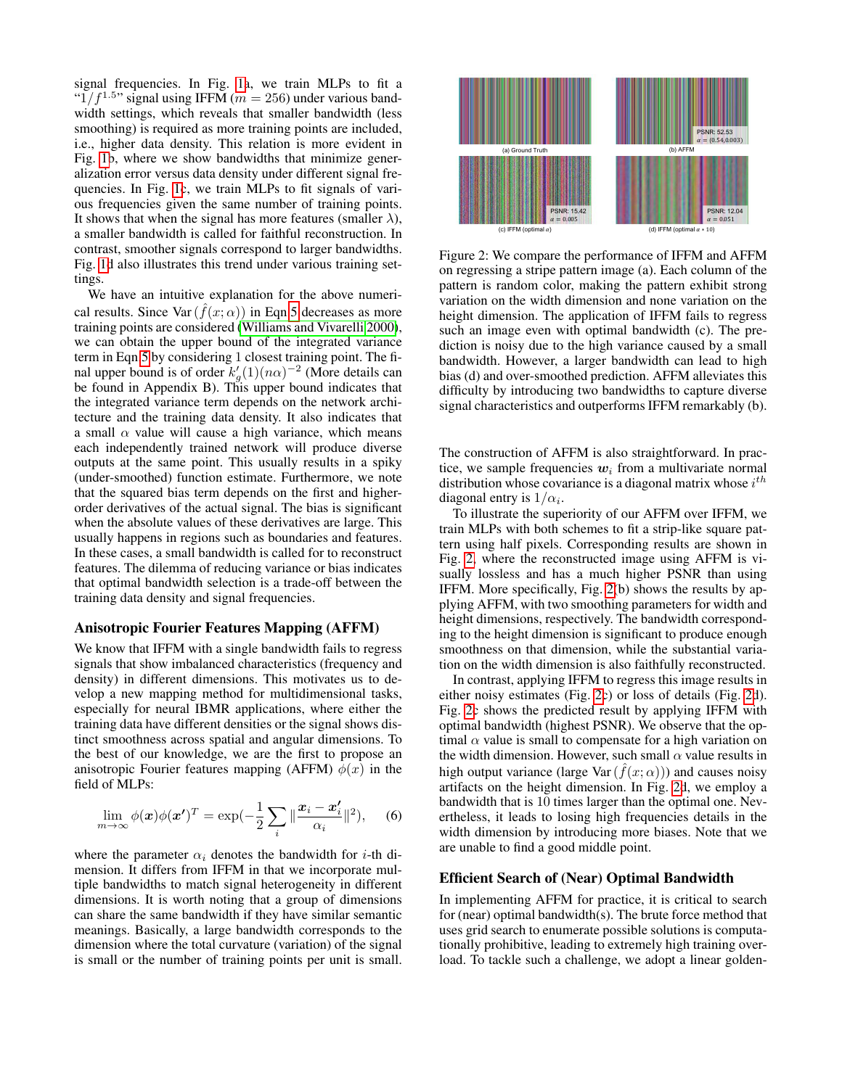signal frequencies. In Fig. [1a](#page-2-1), we train MLPs to fit a " $1/f^{1.5}$ " signal using IFFM ( $m = 256$ ) under various bandwidth settings, which reveals that smaller bandwidth (less smoothing) is required as more training points are included, i.e., higher data density. This relation is more evident in Fig. [1b](#page-2-1), where we show bandwidths that minimize generalization error versus data density under different signal frequencies. In Fig. [1c](#page-2-1), we train MLPs to fit signals of various frequencies given the same number of training points. It shows that when the signal has more features (smaller  $\lambda$ ), a smaller bandwidth is called for faithful reconstruction. In contrast, smoother signals correspond to larger bandwidths. Fig. [1d](#page-2-1) also illustrates this trend under various training settings.

We have an intuitive explanation for the above numerical results. Since Var  $(\hat{f}(x; \alpha))$  in Eqn[.5](#page-2-2) decreases as more training points are considered [\(Williams and Vivarelli 2000\)](#page-8-6), we can obtain the upper bound of the integrated variance term in Eqn[.5](#page-2-2) by considering 1 closest training point. The final upper bound is of order  $k'_{g}(1)(n\alpha)^{-2}$  (More details can be found in Appendix B). This upper bound indicates that the integrated variance term depends on the network architecture and the training data density. It also indicates that a small  $\alpha$  value will cause a high variance, which means each independently trained network will produce diverse outputs at the same point. This usually results in a spiky (under-smoothed) function estimate. Furthermore, we note that the squared bias term depends on the first and higherorder derivatives of the actual signal. The bias is significant when the absolute values of these derivatives are large. This usually happens in regions such as boundaries and features. In these cases, a small bandwidth is called for to reconstruct features. The dilemma of reducing variance or bias indicates that optimal bandwidth selection is a trade-off between the training data density and signal frequencies.

#### Anisotropic Fourier Features Mapping (AFFM)

We know that IFFM with a single bandwidth fails to regress signals that show imbalanced characteristics (frequency and density) in different dimensions. This motivates us to develop a new mapping method for multidimensional tasks, especially for neural IBMR applications, where either the training data have different densities or the signal shows distinct smoothness across spatial and angular dimensions. To the best of our knowledge, we are the first to propose an anisotropic Fourier features mapping (AFFM)  $\phi(x)$  in the field of MLPs:

$$
\lim_{m \to \infty} \phi(\boldsymbol{x}) \phi(\boldsymbol{x'})^T = \exp(-\frac{1}{2} \sum_{i} \|\frac{\boldsymbol{x}_i - \boldsymbol{x}_i'}{\alpha_i}\|^2), \quad (6)
$$

where the parameter  $\alpha_i$  denotes the bandwidth for *i*-th dimension. It differs from IFFM in that we incorporate multiple bandwidths to match signal heterogeneity in different dimensions. It is worth noting that a group of dimensions can share the same bandwidth if they have similar semantic meanings. Basically, a large bandwidth corresponds to the dimension where the total curvature (variation) of the signal is small or the number of training points per unit is small.

<span id="page-3-0"></span>

Figure 2: We compare the performance of IFFM and AFFM on regressing a stripe pattern image (a). Each column of the pattern is random color, making the pattern exhibit strong variation on the width dimension and none variation on the height dimension. The application of IFFM fails to regress such an image even with optimal bandwidth (c). The prediction is noisy due to the high variance caused by a small bandwidth. However, a larger bandwidth can lead to high bias (d) and over-smoothed prediction. AFFM alleviates this difficulty by introducing two bandwidths to capture diverse signal characteristics and outperforms IFFM remarkably (b).

The construction of AFFM is also straightforward. In practice, we sample frequencies  $w_i$  from a multivariate normal distribution whose covariance is a diagonal matrix whose  $i^{th}$ diagonal entry is  $1/\alpha_i$ .

To illustrate the superiority of our AFFM over IFFM, we train MLPs with both schemes to fit a strip-like square pattern using half pixels. Corresponding results are shown in Fig. [2,](#page-3-0) where the reconstructed image using AFFM is visually lossless and has a much higher PSNR than using IFFM. More specifically, Fig. [2\(](#page-3-0)b) shows the results by applying AFFM, with two smoothing parameters for width and height dimensions, respectively. The bandwidth corresponding to the height dimension is significant to produce enough smoothness on that dimension, while the substantial variation on the width dimension is also faithfully reconstructed.

In contrast, applying IFFM to regress this image results in either noisy estimates (Fig. [2c](#page-3-0)) or loss of details (Fig. [2d](#page-3-0)). Fig. [2c](#page-3-0) shows the predicted result by applying IFFM with optimal bandwidth (highest PSNR). We observe that the optimal  $\alpha$  value is small to compensate for a high variation on the width dimension. However, such small  $\alpha$  value results in high output variance (large Var $(\hat{f}(x; \alpha))$ ) and causes noisy artifacts on the height dimension. In Fig. [2d](#page-3-0), we employ a bandwidth that is 10 times larger than the optimal one. Nevertheless, it leads to losing high frequencies details in the width dimension by introducing more biases. Note that we are unable to find a good middle point.

### Efficient Search of (Near) Optimal Bandwidth

In implementing AFFM for practice, it is critical to search for (near) optimal bandwidth(s). The brute force method that uses grid search to enumerate possible solutions is computationally prohibitive, leading to extremely high training overload. To tackle such a challenge, we adopt a linear golden-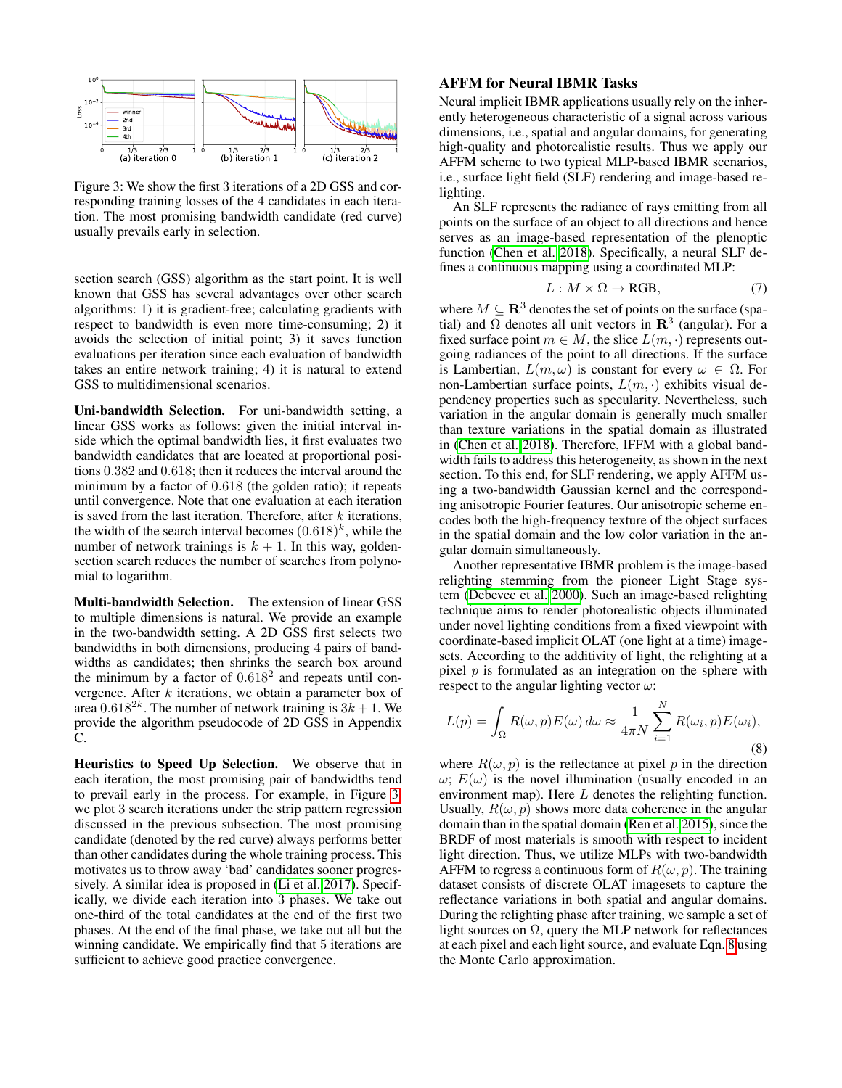<span id="page-4-0"></span>

Figure 3: We show the first 3 iterations of a 2D GSS and corresponding training losses of the 4 candidates in each iteration. The most promising bandwidth candidate (red curve) usually prevails early in selection.

section search (GSS) algorithm as the start point. It is well known that GSS has several advantages over other search algorithms: 1) it is gradient-free; calculating gradients with respect to bandwidth is even more time-consuming; 2) it avoids the selection of initial point; 3) it saves function evaluations per iteration since each evaluation of bandwidth takes an entire network training; 4) it is natural to extend GSS to multidimensional scenarios.

Uni-bandwidth Selection. For uni-bandwidth setting, a linear GSS works as follows: given the initial interval inside which the optimal bandwidth lies, it first evaluates two bandwidth candidates that are located at proportional positions 0.382 and 0.618; then it reduces the interval around the minimum by a factor of 0.618 (the golden ratio); it repeats until convergence. Note that one evaluation at each iteration is saved from the last iteration. Therefore, after  $k$  iterations, the width of the search interval becomes  $(0.618)^k$ , while the number of network trainings is  $k + 1$ . In this way, goldensection search reduces the number of searches from polynomial to logarithm.

Multi-bandwidth Selection. The extension of linear GSS to multiple dimensions is natural. We provide an example in the two-bandwidth setting. A 2D GSS first selects two bandwidths in both dimensions, producing 4 pairs of bandwidths as candidates; then shrinks the search box around the minimum by a factor of  $0.618<sup>2</sup>$  and repeats until convergence. After  $k$  iterations, we obtain a parameter box of area  $0.618^{2k}$ . The number of network training is  $3k + 1$ . We provide the algorithm pseudocode of 2D GSS in Appendix C.

Heuristics to Speed Up Selection. We observe that in each iteration, the most promising pair of bandwidths tend to prevail early in the process. For example, in Figure [3,](#page-4-0) we plot 3 search iterations under the strip pattern regression discussed in the previous subsection. The most promising candidate (denoted by the red curve) always performs better than other candidates during the whole training process. This motivates us to throw away 'bad' candidates sooner progressively. A similar idea is proposed in [\(Li et al. 2017\)](#page-7-24). Specifically, we divide each iteration into 3 phases. We take out one-third of the total candidates at the end of the first two phases. At the end of the final phase, we take out all but the winning candidate. We empirically find that 5 iterations are sufficient to achieve good practice convergence.

### AFFM for Neural IBMR Tasks

Neural implicit IBMR applications usually rely on the inherently heterogeneous characteristic of a signal across various dimensions, i.e., spatial and angular domains, for generating high-quality and photorealistic results. Thus we apply our AFFM scheme to two typical MLP-based IBMR scenarios, i.e., surface light field (SLF) rendering and image-based relighting.

An SLF represents the radiance of rays emitting from all points on the surface of an object to all directions and hence serves as an image-based representation of the plenoptic function [\(Chen et al. 2018\)](#page-7-1). Specifically, a neural SLF defines a continuous mapping using a coordinated MLP:

$$
L: M \times \Omega \to \text{RGB}, \tag{7}
$$

where  $M \subseteq \mathbb{R}^3$  denotes the set of points on the surface (spatial) and  $\Omega$  denotes all unit vectors in  $\mathbb{R}^3$  (angular). For a fixed surface point  $m \in M$ , the slice  $L(m, \cdot)$  represents outgoing radiances of the point to all directions. If the surface is Lambertian,  $L(m, \omega)$  is constant for every  $\omega \in \Omega$ . For non-Lambertian surface points,  $L(m, \cdot)$  exhibits visual dependency properties such as specularity. Nevertheless, such variation in the angular domain is generally much smaller than texture variations in the spatial domain as illustrated in [\(Chen et al. 2018\)](#page-7-1). Therefore, IFFM with a global bandwidth fails to address this heterogeneity, as shown in the next section. To this end, for SLF rendering, we apply AFFM using a two-bandwidth Gaussian kernel and the corresponding anisotropic Fourier features. Our anisotropic scheme encodes both the high-frequency texture of the object surfaces in the spatial domain and the low color variation in the angular domain simultaneously.

Another representative IBMR problem is the image-based relighting stemming from the pioneer Light Stage system [\(Debevec et al. 2000\)](#page-7-16). Such an image-based relighting technique aims to render photorealistic objects illuminated under novel lighting conditions from a fixed viewpoint with coordinate-based implicit OLAT (one light at a time) imagesets. According to the additivity of light, the relighting at a pixel  $p$  is formulated as an integration on the sphere with respect to the angular lighting vector  $\omega$ :

<span id="page-4-1"></span>
$$
L(p) = \int_{\Omega} R(\omega, p) E(\omega) d\omega \approx \frac{1}{4\pi N} \sum_{i=1}^{N} R(\omega_i, p) E(\omega_i),
$$
\n(8)

where  $R(\omega, p)$  is the reflectance at pixel p in the direction  $ω$ ;  $E(ω)$  is the novel illumination (usually encoded in an environment map). Here L denotes the relighting function. Usually,  $R(\omega, p)$  shows more data coherence in the angular domain than in the spatial domain [\(Ren et al. 2015\)](#page-7-19), since the BRDF of most materials is smooth with respect to incident light direction. Thus, we utilize MLPs with two-bandwidth AFFM to regress a continuous form of  $R(\omega, p)$ . The training dataset consists of discrete OLAT imagesets to capture the reflectance variations in both spatial and angular domains. During the relighting phase after training, we sample a set of light sources on  $\Omega$ , query the MLP network for reflectances at each pixel and each light source, and evaluate Eqn. [8](#page-4-1) using the Monte Carlo approximation.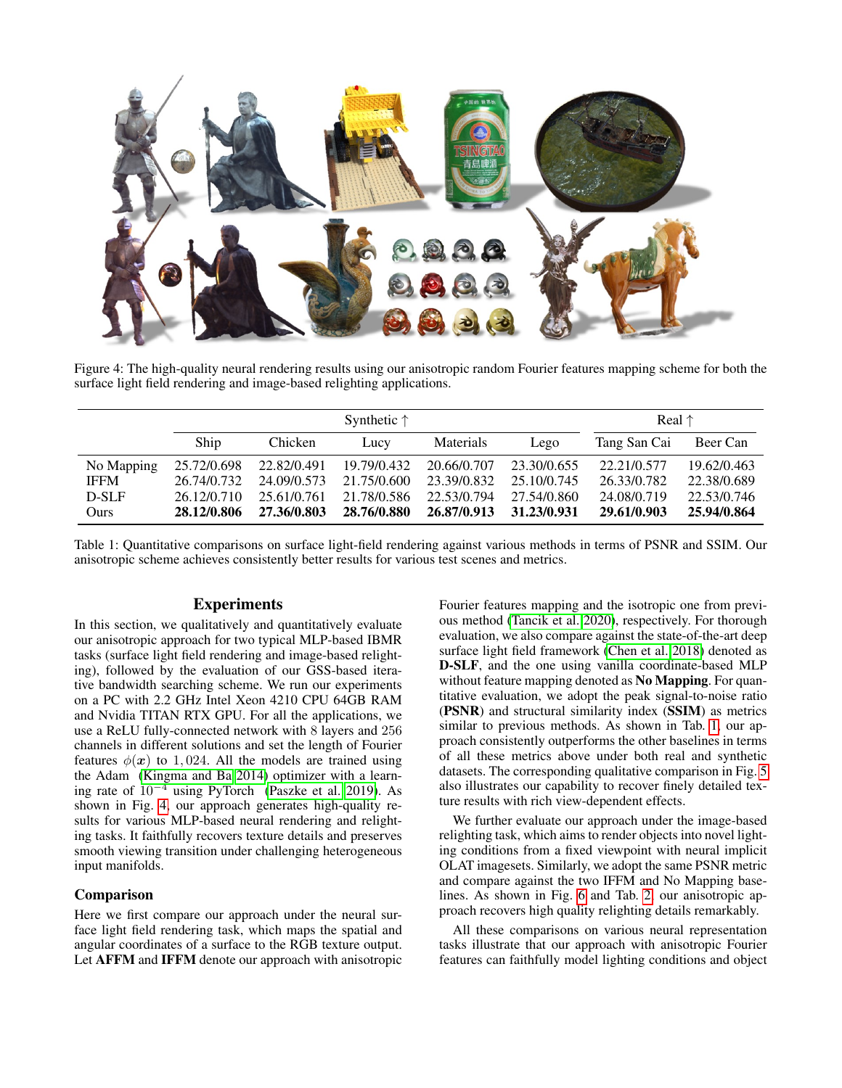<span id="page-5-0"></span>

Figure 4: The high-quality neural rendering results using our anisotropic random Fourier features mapping scheme for both the surface light field rendering and image-based relighting applications.

<span id="page-5-1"></span>

|             | Synthetic $\uparrow$ |             |             |             |             | Real $\uparrow$ |             |
|-------------|----------------------|-------------|-------------|-------------|-------------|-----------------|-------------|
|             | Ship                 | Chicken     | Lucy        | Materials   | Lego        | Tang San Cai    | Beer Can    |
| No Mapping  | 25.72/0.698          | 22.82/0.491 | 19.79/0.432 | 20.66/0.707 | 23.30/0.655 | 22.21/0.577     | 19.62/0.463 |
| <b>IFFM</b> | 26.74/0.732          | 24.09/0.573 | 21.75/0.600 | 23.39/0.832 | 25.10/0.745 | 26.33/0.782     | 22.38/0.689 |
| D-SLF       | 26.12/0.710          | 25.61/0.761 | 21.78/0.586 | 22.53/0.794 | 27.54/0.860 | 24.08/0.719     | 22.53/0.746 |
| Ours        | 28.12/0.806          | 27.36/0.803 | 28.76/0.880 | 26.87/0.913 | 31.23/0.931 | 29.61/0.903     | 25.94/0.864 |

Table 1: Quantitative comparisons on surface light-field rendering against various methods in terms of PSNR and SSIM. Our anisotropic scheme achieves consistently better results for various test scenes and metrics.

### Experiments

In this section, we qualitatively and quantitatively evaluate our anisotropic approach for two typical MLP-based IBMR tasks (surface light field rendering and image-based relighting), followed by the evaluation of our GSS-based iterative bandwidth searching scheme. We run our experiments on a PC with 2.2 GHz Intel Xeon 4210 CPU 64GB RAM and Nvidia TITAN RTX GPU. For all the applications, we use a ReLU fully-connected network with 8 layers and 256 channels in different solutions and set the length of Fourier features  $\phi(\mathbf{x})$  to 1,024. All the models are trained using the Adam [\(Kingma and Ba 2014\)](#page-7-25) optimizer with a learning rate of  $10^{-4}$  using PyTorch [\(Paszke et al. 2019\)](#page-7-26). As shown in Fig. [4,](#page-5-0) our approach generates high-quality results for various MLP-based neural rendering and relighting tasks. It faithfully recovers texture details and preserves smooth viewing transition under challenging heterogeneous input manifolds.

#### Comparison

Here we first compare our approach under the neural surface light field rendering task, which maps the spatial and angular coordinates of a surface to the RGB texture output. Let AFFM and IFFM denote our approach with anisotropic

Fourier features mapping and the isotropic one from previous method [\(Tancik et al. 2020\)](#page-8-2), respectively. For thorough evaluation, we also compare against the state-of-the-art deep surface light field framework [\(Chen et al. 2018\)](#page-7-1) denoted as D-SLF, and the one using vanilla coordinate-based MLP without feature mapping denoted as No Mapping. For quantitative evaluation, we adopt the peak signal-to-noise ratio (PSNR) and structural similarity index (SSIM) as metrics similar to previous methods. As shown in Tab. [1,](#page-5-1) our approach consistently outperforms the other baselines in terms of all these metrics above under both real and synthetic datasets. The corresponding qualitative comparison in Fig. [5](#page-6-0) also illustrates our capability to recover finely detailed texture results with rich view-dependent effects.

We further evaluate our approach under the image-based relighting task, which aims to render objects into novel lighting conditions from a fixed viewpoint with neural implicit OLAT imagesets. Similarly, we adopt the same PSNR metric and compare against the two IFFM and No Mapping baselines. As shown in Fig. [6](#page-6-1) and Tab. [2,](#page-6-2) our anisotropic approach recovers high quality relighting details remarkably.

All these comparisons on various neural representation tasks illustrate that our approach with anisotropic Fourier features can faithfully model lighting conditions and object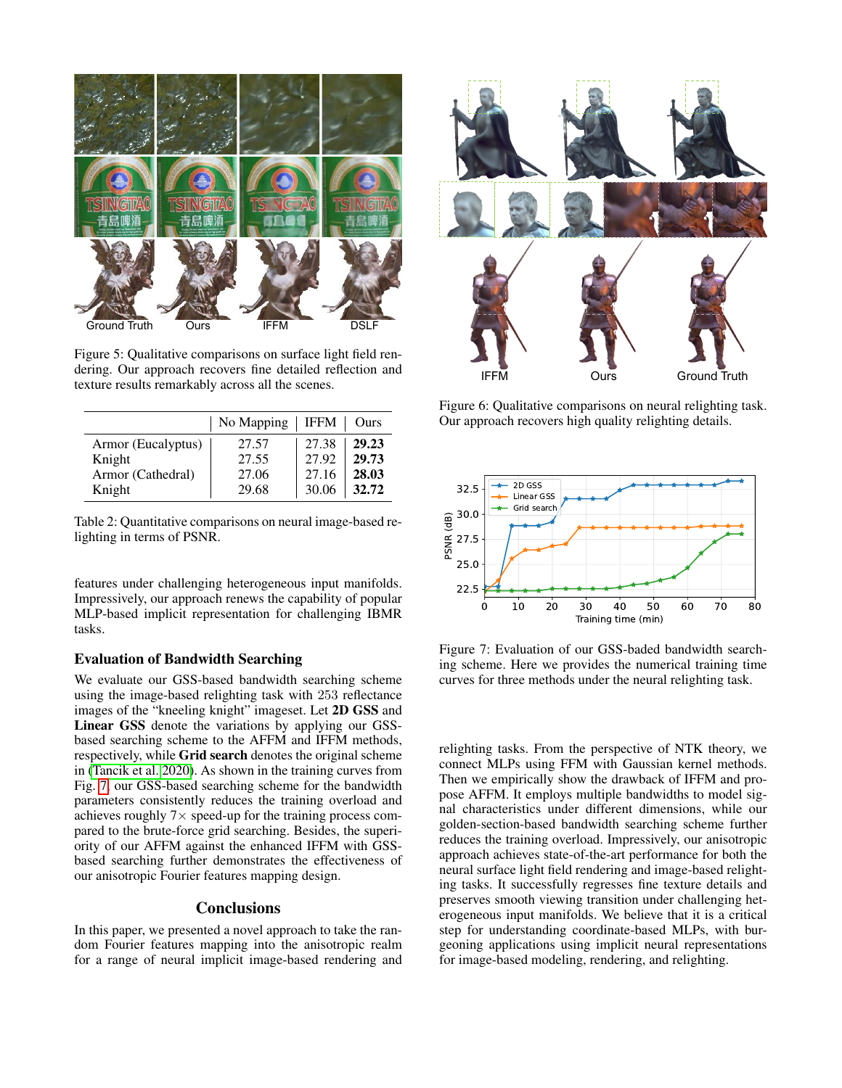<span id="page-6-0"></span>

Figure 5: Qualitative comparisons on surface light field rendering. Our approach recovers fine detailed reflection and texture results remarkably across all the scenes.

<span id="page-6-2"></span>

|                    | No Mapping | IFFM  | Ours  |
|--------------------|------------|-------|-------|
| Armor (Eucalyptus) | 27.57      | 27.38 | 29.23 |
| Knight             | 27.55      | 27.92 | 29.73 |
| Armor (Cathedral)  | 27.06      | 27.16 | 28.03 |
| Knight             | 29.68      | 30.06 | 32.72 |

Table 2: Quantitative comparisons on neural image-based relighting in terms of PSNR.

features under challenging heterogeneous input manifolds. Impressively, our approach renews the capability of popular MLP-based implicit representation for challenging IBMR tasks.

#### Evaluation of Bandwidth Searching

We evaluate our GSS-based bandwidth searching scheme using the image-based relighting task with 253 reflectance images of the "kneeling knight" imageset. Let 2D GSS and Linear GSS denote the variations by applying our GSSbased searching scheme to the AFFM and IFFM methods, respectively, while Grid search denotes the original scheme in [\(Tancik et al. 2020\)](#page-8-2). As shown in the training curves from Fig. [7,](#page-6-3) our GSS-based searching scheme for the bandwidth parameters consistently reduces the training overload and achieves roughly  $7\times$  speed-up for the training process compared to the brute-force grid searching. Besides, the superiority of our AFFM against the enhanced IFFM with GSSbased searching further demonstrates the effectiveness of our anisotropic Fourier features mapping design.

## **Conclusions**

In this paper, we presented a novel approach to take the random Fourier features mapping into the anisotropic realm for a range of neural implicit image-based rendering and

<span id="page-6-1"></span>

Figure 6: Qualitative comparisons on neural relighting task. Our approach recovers high quality relighting details.

<span id="page-6-3"></span>

Figure 7: Evaluation of our GSS-baded bandwidth searching scheme. Here we provides the numerical training time curves for three methods under the neural relighting task.

relighting tasks. From the perspective of NTK theory, we connect MLPs using FFM with Gaussian kernel methods. Then we empirically show the drawback of IFFM and propose AFFM. It employs multiple bandwidths to model signal characteristics under different dimensions, while our golden-section-based bandwidth searching scheme further reduces the training overload. Impressively, our anisotropic approach achieves state-of-the-art performance for both the neural surface light field rendering and image-based relighting tasks. It successfully regresses fine texture details and preserves smooth viewing transition under challenging heterogeneous input manifolds. We believe that it is a critical step for understanding coordinate-based MLPs, with burgeoning applications using implicit neural representations for image-based modeling, rendering, and relighting.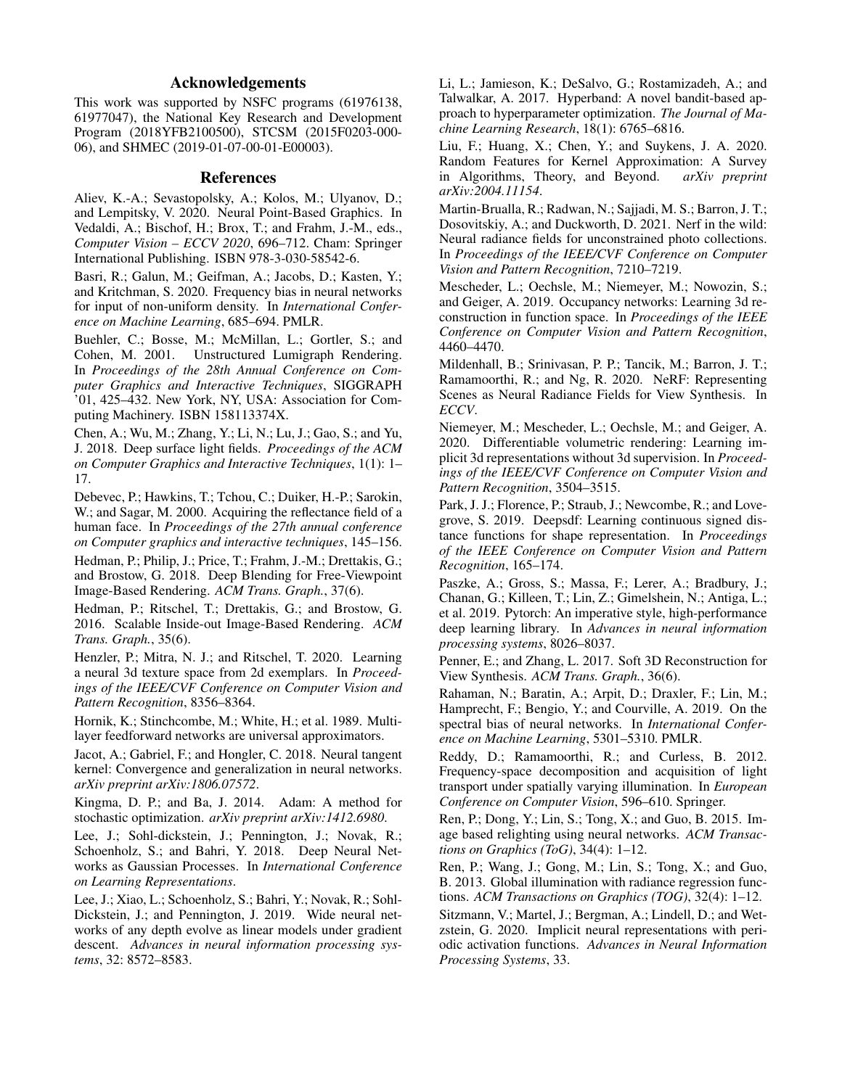## Acknowledgements

This work was supported by NSFC programs (61976138, 61977047), the National Key Research and Development Program (2018YFB2100500), STCSM (2015F0203-000- 06), and SHMEC (2019-01-07-00-01-E00003).

#### References

<span id="page-7-14"></span>Aliev, K.-A.; Sevastopolsky, A.; Kolos, M.; Ulyanov, D.; and Lempitsky, V. 2020. Neural Point-Based Graphics. In Vedaldi, A.; Bischof, H.; Brox, T.; and Frahm, J.-M., eds., *Computer Vision – ECCV 2020*, 696–712. Cham: Springer International Publishing. ISBN 978-3-030-58542-6.

<span id="page-7-20"></span>Basri, R.; Galun, M.; Geifman, A.; Jacobs, D.; Kasten, Y.; and Kritchman, S. 2020. Frequency bias in neural networks for input of non-uniform density. In *International Conference on Machine Learning*, 685–694. PMLR.

<span id="page-7-12"></span>Buehler, C.; Bosse, M.; McMillan, L.; Gortler, S.; and Cohen, M. 2001. Unstructured Lumigraph Rendering. In *Proceedings of the 28th Annual Conference on Computer Graphics and Interactive Techniques*, SIGGRAPH '01, 425–432. New York, NY, USA: Association for Computing Machinery. ISBN 158113374X.

<span id="page-7-1"></span>Chen, A.; Wu, M.; Zhang, Y.; Li, N.; Lu, J.; Gao, S.; and Yu, J. 2018. Deep surface light fields. *Proceedings of the ACM on Computer Graphics and Interactive Techniques*, 1(1): 1– 17.

<span id="page-7-16"></span>Debevec, P.; Hawkins, T.; Tchou, C.; Duiker, H.-P.; Sarokin, W.; and Sagar, M. 2000. Acquiring the reflectance field of a human face. In *Proceedings of the 27th annual conference on Computer graphics and interactive techniques*, 145–156.

<span id="page-7-13"></span>Hedman, P.; Philip, J.; Price, T.; Frahm, J.-M.; Drettakis, G.; and Brostow, G. 2018. Deep Blending for Free-Viewpoint Image-Based Rendering. *ACM Trans. Graph.*, 37(6).

<span id="page-7-10"></span>Hedman, P.; Ritschel, T.; Drettakis, G.; and Brostow, G. 2016. Scalable Inside-out Image-Based Rendering. *ACM Trans. Graph.*, 35(6).

<span id="page-7-8"></span>Henzler, P.; Mitra, N. J.; and Ritschel, T. 2020. Learning a neural 3d texture space from 2d exemplars. In *Proceedings of the IEEE/CVF Conference on Computer Vision and Pattern Recognition*, 8356–8364.

<span id="page-7-3"></span>Hornik, K.; Stinchcombe, M.; White, H.; et al. 1989. Multilayer feedforward networks are universal approximators.

<span id="page-7-6"></span>Jacot, A.; Gabriel, F.; and Hongler, C. 2018. Neural tangent kernel: Convergence and generalization in neural networks. *arXiv preprint arXiv:1806.07572*.

<span id="page-7-25"></span>Kingma, D. P.; and Ba, J. 2014. Adam: A method for stochastic optimization. *arXiv preprint arXiv:1412.6980*.

<span id="page-7-22"></span>Lee, J.; Sohl-dickstein, J.; Pennington, J.; Novak, R.; Schoenholz, S.; and Bahri, Y. 2018. Deep Neural Networks as Gaussian Processes. In *International Conference on Learning Representations*.

<span id="page-7-23"></span>Lee, J.; Xiao, L.; Schoenholz, S.; Bahri, Y.; Novak, R.; Sohl-Dickstein, J.; and Pennington, J. 2019. Wide neural networks of any depth evolve as linear models under gradient descent. *Advances in neural information processing systems*, 32: 8572–8583.

<span id="page-7-24"></span>Li, L.; Jamieson, K.; DeSalvo, G.; Rostamizadeh, A.; and Talwalkar, A. 2017. Hyperband: A novel bandit-based approach to hyperparameter optimization. *The Journal of Machine Learning Research*, 18(1): 6765–6816.

<span id="page-7-21"></span>Liu, F.; Huang, X.; Chen, Y.; and Suykens, J. A. 2020. Random Features for Kernel Approximation: A Survey<br>in Algorithms, Theory, and Beyond. *arXiv preprint* in Algorithms, Theory, and Beyond. *arXiv:2004.11154*.

<span id="page-7-15"></span>Martin-Brualla, R.; Radwan, N.; Sajjadi, M. S.; Barron, J. T.; Dosovitskiy, A.; and Duckworth, D. 2021. Nerf in the wild: Neural radiance fields for unconstrained photo collections. In *Proceedings of the IEEE/CVF Conference on Computer Vision and Pattern Recognition*, 7210–7219.

<span id="page-7-0"></span>Mescheder, L.; Oechsle, M.; Niemeyer, M.; Nowozin, S.; and Geiger, A. 2019. Occupancy networks: Learning 3d reconstruction in function space. In *Proceedings of the IEEE Conference on Computer Vision and Pattern Recognition*, 4460–4470.

<span id="page-7-2"></span>Mildenhall, B.; Srinivasan, P. P.; Tancik, M.; Barron, J. T.; Ramamoorthi, R.; and Ng, R. 2020. NeRF: Representing Scenes as Neural Radiance Fields for View Synthesis. In *ECCV*.

<span id="page-7-9"></span>Niemeyer, M.; Mescheder, L.; Oechsle, M.; and Geiger, A. 2020. Differentiable volumetric rendering: Learning implicit 3d representations without 3d supervision. In *Proceedings of the IEEE/CVF Conference on Computer Vision and Pattern Recognition*, 3504–3515.

<span id="page-7-7"></span>Park, J. J.; Florence, P.; Straub, J.; Newcombe, R.; and Lovegrove, S. 2019. Deepsdf: Learning continuous signed distance functions for shape representation. In *Proceedings of the IEEE Conference on Computer Vision and Pattern Recognition*, 165–174.

<span id="page-7-26"></span>Paszke, A.; Gross, S.; Massa, F.; Lerer, A.; Bradbury, J.; Chanan, G.; Killeen, T.; Lin, Z.; Gimelshein, N.; Antiga, L.; et al. 2019. Pytorch: An imperative style, high-performance deep learning library. In *Advances in neural information processing systems*, 8026–8037.

<span id="page-7-11"></span>Penner, E.; and Zhang, L. 2017. Soft 3D Reconstruction for View Synthesis. *ACM Trans. Graph.*, 36(6).

<span id="page-7-4"></span>Rahaman, N.; Baratin, A.; Arpit, D.; Draxler, F.; Lin, M.; Hamprecht, F.; Bengio, Y.; and Courville, A. 2019. On the spectral bias of neural networks. In *International Conference on Machine Learning*, 5301–5310. PMLR.

<span id="page-7-17"></span>Reddy, D.; Ramamoorthi, R.; and Curless, B. 2012. Frequency-space decomposition and acquisition of light transport under spatially varying illumination. In *European Conference on Computer Vision*, 596–610. Springer.

<span id="page-7-19"></span>Ren, P.; Dong, Y.; Lin, S.; Tong, X.; and Guo, B. 2015. Image based relighting using neural networks. *ACM Transactions on Graphics (ToG)*, 34(4): 1–12.

<span id="page-7-18"></span>Ren, P.; Wang, J.; Gong, M.; Lin, S.; Tong, X.; and Guo, B. 2013. Global illumination with radiance regression functions. *ACM Transactions on Graphics (TOG)*, 32(4): 1–12.

<span id="page-7-5"></span>Sitzmann, V.; Martel, J.; Bergman, A.; Lindell, D.; and Wetzstein, G. 2020. Implicit neural representations with periodic activation functions. *Advances in Neural Information Processing Systems*, 33.